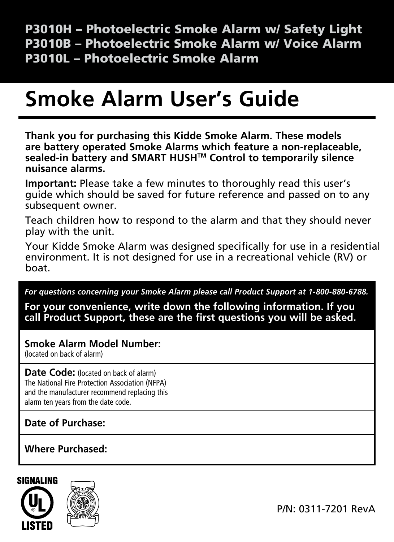P3010H – Photoelectric Smoke Alarm w/ Safety Light P3010B – Photoelectric Smoke Alarm w/ Voice Alarm P3010L – Photoelectric Smoke Alarm

# **Smoke Alarm User's Guide**

**Thank you for purchasing this Kidde Smoke Alarm. These models are battery operated Smoke Alarms which feature a non-replaceable, sealed-in battery and SMART HUSHTM Control to temporarily silence nuisance alarms.**

**Important:** Please take a few minutes to thoroughly read this user's guide which should be saved for future reference and passed on to any subsequent owner.

Teach children how to respond to the alarm and that they should never play with the unit.

Your Kidde Smoke Alarm was designed specifically for use in a residential environment. It is not designed for use in a recreational vehicle (RV) or boat.

*For questions concerning your Smoke Alarm please call Product Support at 1-800-880-6788.*

**For your convenience, write down the following information. If you call Product Support, these are the first questions you will be asked.**

| Smoke Alarm Model Number:<br>(located on back of alarm)                                                                                                                                 |  |
|-----------------------------------------------------------------------------------------------------------------------------------------------------------------------------------------|--|
| <b>Date Code:</b> (located on back of alarm)<br>The National Fire Protection Association (NFPA)<br>and the manufacturer recommend replacing this<br>alarm ten years from the date code. |  |
| Date of Purchase:                                                                                                                                                                       |  |
| <b>Where Purchased:</b>                                                                                                                                                                 |  |



P/N: 0311-7201 RevA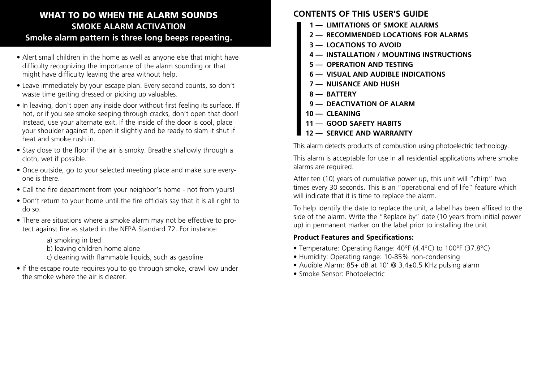# WHAT TO DO WHEN THE ALARM SOUNDS **SMOKE ALARM ACTIVATION Smoke alarm pattern is three long beeps repeating.**

- Alert small children in the home as well as anyone else that might have difficulty recognizing the importance of the alarm sounding or that might have difficulty leaving the area without help.
- Leave immediately by your escape plan. Every second counts, so don't waste time getting dressed or picking up valuables.
- In leaving, don't open any inside door without first feeling its surface. If hot, or if you see smoke seeping through cracks, don't open that door! Instead, use your alternate exit. If the inside of the door is cool, place your shoulder against it, open it slightly and be ready to slam it shut if heat and smoke rush in.
- Stay close to the floor if the air is smoky. Breathe shallowly through a cloth, wet if possible.
- Once outside, go to your selected meeting place and make sure everyone is there.
- Call the fire department from your neighbor's home not from yours!
- Don't return to your home until the fire officials say that it is all right to do so.
- There are situations where a smoke alarm may not be effective to protect against fire as stated in the NFPA Standard 72. For instance:
	- a) smoking in bed
	- b) leaving children home alone
	- c) cleaning with flammable liquids, such as gasoline
- If the escape route requires you to go through smoke, crawl low under the smoke where the air is clearer.

#### **CONTENTS OF THIS USER'S GUIDE**

- **1 LIMITATIONS OF SMOKE ALARMS**
- **2 RECOMMENDED LOCATIONS FOR ALARMS**
- **3 LOCATIONS TO AVOID**
- **4 INSTALLATION / MOUNTING INSTRUCTIONS**
- **5 OPERATION AND TESTING**
- **6 — VISUAL AND AUDIBLE INDICATIONS**
- **7 NUISANCE AND HUSH**
- **8 BATTERY**
- **9 DEACTIVATION OF ALARM**
- **10 CLEANING**
- **11 GOOD SAFETY HABITS**
- **12 SERVICE AND WARRANTY**

This alarm detects products of combustion using photoelectric technology.

This alarm is acceptable for use in all residential applications where smoke alarms are required.

After ten (10) years of cumulative power up, this unit will "chirp" two times every 30 seconds. This is an "operational end of life" feature which will indicate that it is time to replace the alarm.

To help identify the date to replace the unit, a label has been affixed to the side of the alarm. Write the "Replace by" date (10 years from initial power up) in permanent marker on the label prior to installing the unit.

#### **Product Features and Specifications:**

- Temperature: Operating Range: 40°F (4.4°C) to 100°F (37.8°C)
- Humidity: Operating range: 10-85% non-condensing
- Audible Alarm: 85+ dB at 10' @ 3.4±0.5 KHz pulsing alarm
- Smoke Sensor: Photoelectric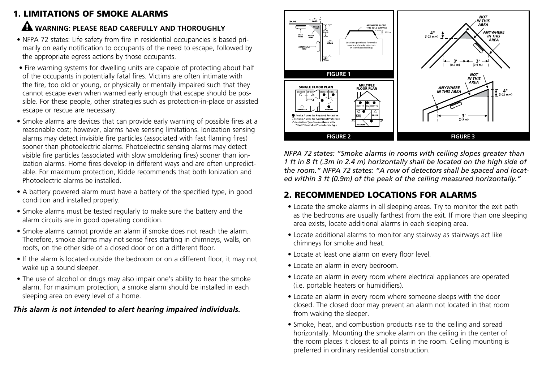# 1. LIMITATIONS OF SMOKE ALARMS

# **WARNING: PLEASE READ CAREFULLY AND THOROUGHLY**

- NFPA 72 states: Life safety from fire in residential occupancies is based primarily on early notification to occupants of the need to escape, followed by the appropriate egress actions by those occupants.
- Fire warning systems for dwelling units are capable of protecting about half of the occupants in potentially fatal fires. Victims are often intimate with the fire, too old or young, or physically or mentally impaired such that they cannot escape even when warned early enough that escape should be possible. For these people, other strategies such as protection-in-place or assisted escape or rescue are necessary.
- Smoke alarms are devices that can provide early warning of possible fires at a reasonable cost; however, alarms have sensing limitations. Ionization sensing alarms may detect invisible fire particles (associated with fast flaming fires) sooner than photoelectric alarms. Photoelectric sensing alarms may detect visible fire particles (associated with slow smoldering fires) sooner than ionization alarms. Home fires develop in different ways and are often unpredictable. For maximum protection, Kidde recommends that both Ionization and Photoelectric alarms be installed.
- A battery powered alarm must have a battery of the specified type, in good condition and installed properly.
- Smoke alarms must be tested regularly to make sure the battery and the alarm circuits are in good operating condition.
- Smoke alarms cannot provide an alarm if smoke does not reach the alarm. Therefore, smoke alarms may not sense fires starting in chimneys, walls, on roofs, on the other side of a closed door or on a different floor.
- If the alarm is located outside the bedroom or on a different floor, it may not wake up a sound sleeper.
- The use of alcohol or drugs may also impair one's ability to hear the smoke alarm. For maximum protection, a smoke alarm should be installed in each sleeping area on every level of a home.

# *This alarm is not intended to alert hearing impaired individuals.*



*NFPA 72 states: "Smoke alarms in rooms with ceiling slopes greater than 1 ft in 8 ft (.3m in 2.4 m) horizontally shall be located on the high side of the room." NFPA 72 states: "A row of detectors shall be spaced and located within 3 ft (0.9m) of the peak of the ceiling measured horizontally."*

# 2. RECOMMENDED LOCATIONS FOR ALARMS

- Locate the smoke alarms in all sleeping areas. Try to monitor the exit path as the bedrooms are usually farthest from the exit. If more than one sleeping area exists, locate additional alarms in each sleeping area.
- Locate additional alarms to monitor any stairway as stairways act like chimneys for smoke and heat.
- Locate at least one alarm on every floor level.
- Locate an alarm in every bedroom.
- Locate an alarm in every room where electrical appliances are operated (i.e. portable heaters or humidifiers).
- Locate an alarm in every room where someone sleeps with the door closed. The closed door may prevent an alarm not located in that room from waking the sleeper.
- Smoke, heat, and combustion products rise to the ceiling and spread horizontally. Mounting the smoke alarm on the ceiling in the center of the room places it closest to all points in the room. Ceiling mounting is preferred in ordinary residential construction.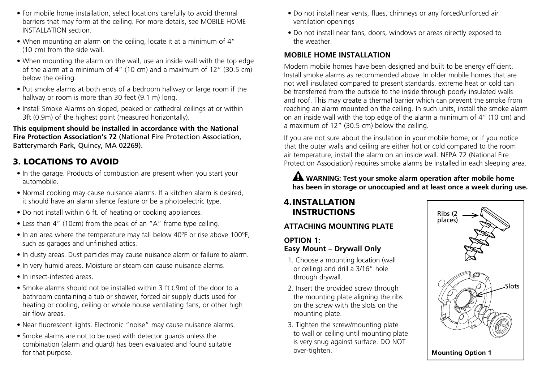- For mobile home installation, select locations carefully to avoid thermal barriers that may form at the ceiling. For more details, see MOBILE HOME INSTALLATION section.
- When mounting an alarm on the ceiling, locate it at a minimum of 4" (10 cm) from the side wall.
- When mounting the alarm on the wall, use an inside wall with the top edge of the alarm at a minimum of 4" (10 cm) and a maximum of 12" (30.5 cm) below the ceiling.
- Put smoke alarms at both ends of a bedroom hallway or large room if the hallway or room is more than 30 feet (9.1 m) long.
- Install Smoke Alarms on sloped, peaked or cathedral ceilings at or within 3ft (0.9m) of the highest point (measured horizontally).

**This equipment should be installed in accordance with the National Fire Protection Association's 72** (National Fire Protection Association, Batterymarch Park, Quincy, MA 02269).

# 3. LOCATIONS TO AVOID

- In the garage. Products of combustion are present when you start your automobile.
- Normal cooking may cause nuisance alarms. If a kitchen alarm is desired, it should have an alarm silence feature or be a photoelectric type.
- Do not install within 6 ft. of heating or cooking appliances.
- Less than 4" (10cm) from the peak of an "A" frame type ceiling.
- In an area where the temperature may fall below 40ºF or rise above 100ºF, such as garages and unfinished attics.
- In dusty areas. Dust particles may cause nuisance alarm or failure to alarm.
- In very humid areas. Moisture or steam can cause nuisance alarms.
- In insect-infested areas.
- Smoke alarms should not be installed within 3 ft (.9m) of the door to a bathroom containing a tub or shower, forced air supply ducts used for heating or cooling, ceiling or whole house ventilating fans, or other high air flow areas.
- Near fluorescent lights. Electronic "noise" may cause nuisance alarms.
- Smoke alarms are not to be used with detector guards unless the combination (alarm and guard) has been evaluated and found suitable for that purpose.
- Do not install near vents, flues, chimneys or any forced/unforced air ventilation openings
- Do not install near fans, doors, windows or areas directly exposed to the weather.

#### **MOBILE HOME INSTALLATION**

Modern mobile homes have been designed and built to be energy efficient. Install smoke alarms as recommended above. In older mobile homes that are not well insulated compared to present standards, extreme heat or cold can be transferred from the outside to the inside through poorly insulated walls and roof. This may create a thermal barrier which can prevent the smoke from reaching an alarm mounted on the ceiling. In such units, install the smoke alarm on an inside wall with the top edge of the alarm a minimum of 4" (10 cm) and a maximum of 12" (30.5 cm) below the ceiling.

If you are not sure about the insulation in your mobile home, or if you notice that the outer walls and ceiling are either hot or cold compared to the room air temperature, install the alarm on an inside wall. NFPA 72 (National Fire Protection Association) requires smoke alarms be installed in each sleeping area.

 **WARNING: Test your smoke alarm operation after mobile home has been in storage or unoccupied and at least once a week during use.** 

## 4.INSTALLATION INSTRUCTIONS

#### **ATTACHING MOUNTING PLATE**

#### **OPTION 1: Easy Mount – Drywall Only**

- 1. Choose a mounting location (wall or ceiling) and drill a 3/16" hole through drywall.
- 2. Insert the provided screw through the mounting plate aligning the ribs on the screw with the slots on the mounting plate.
- 3. Tighten the screw/mounting plate to wall or ceiling until mounting plate is very snug against surface. DO NOT over-tighten.

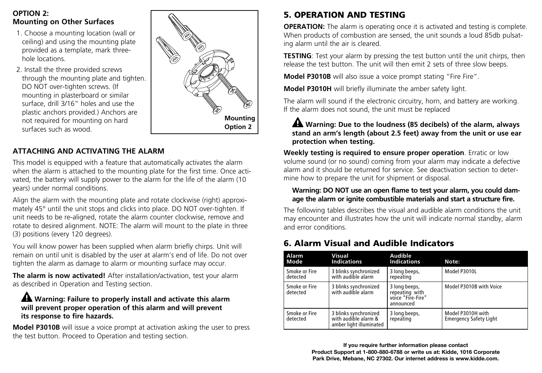#### **OPTION 2: Mounting on Other Surfaces**

- 1. Choose a mounting location (wall or ceiling) and using the mounting plate provided as a template, mark threehole locations.
- 2. Install the three provided screws through the mounting plate and tighten. DO NOT over-tighten screws. (If mounting in plasterboard or similar surface, drill 3/16" holes and use the plastic anchors provided.) Anchors are not required for mounting on hard surfaces such as wood.



### **ATTACHING AND ACTIVATING THE ALARM**

This model is equipped with a feature that automatically activates the alarm when the alarm is attached to the mounting plate for the first time. Once activated, the battery will supply power to the alarm for the life of the alarm (10 years) under normal conditions.

Align the alarm with the mounting plate and rotate clockwise (right) approximately 45° until the unit stops and clicks into place. DO NOT over-tighten. If unit needs to be re-aligned, rotate the alarm counter clockwise, remove and rotate to desired alignment. NOTE: The alarm will mount to the plate in three (3) positions (every 120 degrees).

You will know power has been supplied when alarm briefly chirps. Unit will remain on until unit is disabled by the user at alarm's end of life. Do not over tighten the alarm as damage to alarm or mounting surface may occur.

**The alarm is now activated!** After installation/activation, test your alarm as described in Operation and Testing section.

#### **Warning: Failure to properly install and activate this alarm will prevent proper operation of this alarm and will prevent its response to fire hazards.**

**Model P3010B** will issue a voice prompt at activation asking the user to press the test button. Proceed to Operation and testing section.

# 5. OPERATION AND TESTING

**OPERATION:** The alarm is operating once it is activated and testing is complete. When products of combustion are sensed, the unit sounds a loud 85db pulsating alarm until the air is cleared.

**TESTING**: Test your alarm by pressing the test button until the unit chirps, then release the test button. The unit will then emit 2 sets of three slow beeps.

**Model P3010B** will also issue a voice prompt stating "Fire Fire".

**Model P3010H** will briefly illuminate the amber safety light.

The alarm will sound if the electronic circuitry, horn, and battery are working. If the alarm does not sound, the unit must be replaced

#### **Warning: Due to the loudness (85 decibels) of the alarm, always stand an arm's length (about 2.5 feet) away from the unit or use ear protection when testing.**

**Weekly testing is required to ensure proper operation**. Erratic or low volume sound (or no sound) coming from your alarm may indicate a defective alarm and it should be returned for service. See deactivation section to determine how to prepare the unit for shipment or disposal.

#### **Warning: DO NOT use an open flame to test your alarm, you could damage the alarm or ignite combustible materials and start a structure fire.**

The following tables describes the visual and audible alarm conditions the unit may encounter and illustrates how the unit will indicate normal standby, alarm and error conditions.

# 6. Alarm Visual and Audible Indicators

| Alarm                     | Visual                                                                   | Audible                                                           | Note:                                              |
|---------------------------|--------------------------------------------------------------------------|-------------------------------------------------------------------|----------------------------------------------------|
| Mode                      | <b>Indications</b>                                                       | <b>Indications</b>                                                |                                                    |
| Smoke or Fire             | 3 blinks synchronized                                                    | 3 long beeps,                                                     | Model P3010L                                       |
| detected                  | with audible alarm                                                       | repeating                                                         |                                                    |
| Smoke or Fire<br>detected | 3 blinks synchronized<br>with audible alarm                              | 3 long beeps,<br>repeating with<br>voice "Fire-Fire"<br>announced | Model P3010B with Voice                            |
| Smoke or Fire<br>detected | 3 blinks synchronized<br>with audible alarm &<br>amber light illuminated | 3 long beeps,<br>repeating                                        | Model P3010H with<br><b>Emergency Safety Light</b> |

**If you require further information please contact Product Support at 1-800-880-6788 or write us at: Kidde, 1016 Corporate Park Drive, Mebane, NC 27302. Our internet address is www.kidde.com.**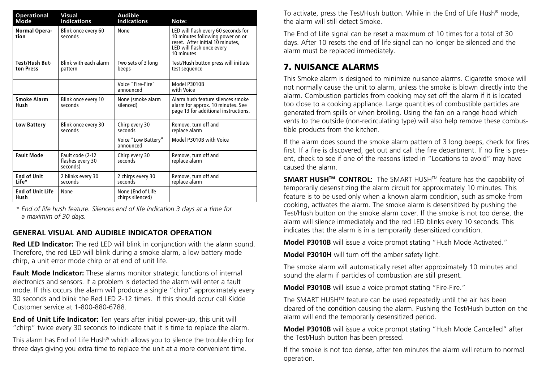| <b>Operational</b><br>Mode      | Visual<br><b>Indications</b>                     | Audible<br><b>Indications</b>         | Note:                                                                                                                                                  |
|---------------------------------|--------------------------------------------------|---------------------------------------|--------------------------------------------------------------------------------------------------------------------------------------------------------|
| Normal Opera-<br>tion           | Blink once every 60<br>seconds                   | None                                  | LED will flash every 60 seconds for<br>10 minutes following power on or<br>reset. After initial 10 minutes,<br>LED will flash once every<br>10 minutes |
| Test/Hush Rut-<br>ton Press     | Blink with each alarm<br>pattern                 | Two sets of 3 long<br>beeps           | Test/Hush button press will initiate<br>test sequence                                                                                                  |
|                                 |                                                  | Voice "Fire-Fire"<br>announced        | Model P3010B<br>with Voice                                                                                                                             |
| Smoke Alarm<br>Hush             | Blink once every 10<br>seconds                   | None (smoke alarm<br>silenced)        | Alarm hush feature silences smoke<br>alarm for approx. 10 minutes. See<br>page 13 for additional instructions.                                         |
| Low Battery                     | Blink once every 30<br>seconds                   | Chirp every 30<br>seconds             | Remove, turn off and<br>replace alarm                                                                                                                  |
|                                 |                                                  | Voice "Low Battery"<br>announced      | Model P3010B with Voice                                                                                                                                |
| <b>Fault Mode</b>               | Fault code (2-12<br>flashes every 30<br>seconds) | Chirp every 30<br>seconds             | Remove, turn off and<br>replace alarm                                                                                                                  |
| <b>End of Unit</b><br>Life*     | 2 blinks every 30<br>seconds                     | 2 chirps every 30<br>seconds          | Remove, turn off and<br>replace alarm                                                                                                                  |
| <b>End of Unit Life</b><br>Hush | None                                             | None (End of Life<br>chirps silenced) |                                                                                                                                                        |

*\* End of life hush feature. Silences end of life indication 3 days at a time for a maximim of 30 days.*

#### **GENERAL VISUAL AND AUDIBLE INDICATOR OPERATION**

**Red LED Indicator:** The red LED will blink in conjunction with the alarm sound. Therefore, the red LED will blink during a smoke alarm, a low battery mode chirp, a unit error mode chirp or at end of unit life.

**Fault Mode Indicator:** These alarms monitor strategic functions of internal electronics and sensors. If a problem is detected the alarm will enter a fault mode. If this occurs the alarm will produce a single "chirp" approximately every 30 seconds and blink the Red LED 2-12 times. If this should occur call Kidde Customer service at 1-800-880-6788.

**End of Unit Life Indicator:** Ten years after initial power-up, this unit will "chirp" twice every 30 seconds to indicate that it is time to replace the alarm.

This alarm has End of Life Hush® which allows you to silence the trouble chirp for three days giving you extra time to replace the unit at a more convenient time.

To activate, press the Test/Hush button. While in the End of Life Hush® mode, the alarm will still detect Smoke.

The End of Life signal can be reset a maximum of 10 times for a total of 30 days. After 10 resets the end of life signal can no longer be silenced and the alarm must be replaced immediately.

# 7. NUISANCE ALARMS

This Smoke alarm is designed to minimize nuisance alarms. Cigarette smoke will not normally cause the unit to alarm, unless the smoke is blown directly into the alarm. Combustion particles from cooking may set off the alarm if it is located too close to a cooking appliance. Large quantities of combustible particles are generated from spills or when broiling. Using the fan on a range hood which vents to the outside (non-recirculating type) will also help remove these combustible products from the kitchen.

If the alarm does sound the smoke alarm pattern of 3 long beeps, check for fires first. If a fire is discovered, get out and call the fire department. If no fire is present, check to see if one of the reasons listed in "Locations to avoid" may have caused the alarm.

**SMART HUSH™ CONTROL:** The SMART HUSH™ feature has the capability of temporarily desensitizing the alarm circuit for approximately 10 minutes. This feature is to be used only when a known alarm condition, such as smoke from cooking, activates the alarm. The smoke alarm is desensitized by pushing the Test/Hush button on the smoke alarm cover. If the smoke is not too dense, the alarm will silence immediately and the red LED blinks every 10 seconds. This indicates that the alarm is in a temporarily desensitized condition.

**Model P3010B** will issue a voice prompt stating "Hush Mode Activated."

**Model P3010H** will turn off the amber safety light.

The smoke alarm will automatically reset after approximately 10 minutes and sound the alarm if particles of combustion are still present.

**Model P3010B** will issue a voice prompt stating "Fire-Fire."

The SMART HUSH™ feature can be used repeatedly until the air has been cleared of the condition causing the alarm. Pushing the Test/Hush button on the alarm will end the temporarily desensitized period.

**Model P3010B** will issue a voice prompt stating "Hush Mode Cancelled" after the Test/Hush button has been pressed.

If the smoke is not too dense, after ten minutes the alarm will return to normal operation.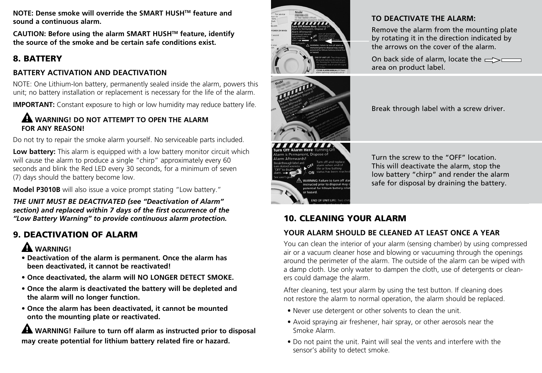**NOTE: Dense smoke will override the SMART HUSHTM feature and sound a continuous alarm.** 

**CAUTION: Before using the alarm SMART HUSHTM feature, identify the source of the smoke and be certain safe conditions exist.**

# 8. BATTERY

#### **BATTERY ACTIVATION AND DEACTIVATION**

NOTE: One Lithium-Ion battery, permanently sealed inside the alarm, powers this unit; no battery installation or replacement is necessary for the life of the alarm.

**IMPORTANT:** Constant exposure to high or low humidity may reduce battery life.

## **WARNING! DO NOT ATTEMPT TO OPEN THE ALARM FOR ANY REASON!**

Do not try to repair the smoke alarm yourself. No serviceable parts included.

Low battery: This alarm is equipped with a low battery monitor circuit which will cause the alarm to produce a single "chirp" approximately every 60 seconds and blink the Red LED every 30 seconds, for a minimum of seven (7) days should the battery become low.

**Model P3010B** will also issue a voice prompt stating "Low battery."

*THE UNIT MUST BE DEACTIVATED (see "Deactivation of Alarm" section) and replaced within 7 days of the first occurrence of the "Low Battery Warning" to provide continuous alarm protection.*

# 9. DEACTIVATION OF ALARM

# **WARNING!**

- **Deactivation of the alarm is permanent. Once the alarm has been deactivated, it cannot be reactivated!**
- **Once deactivated, the alarm will NO LONGER DETECT SMOKE.**
- **Once the alarm is deactivated the battery will be depleted and the alarm will no longer function.**
- **Once the alarm has been deactivated, it cannot be mounted onto the mounting plate or reactivated.**

**WARNING! Failure to turn off alarm as instructed prior to disposal may create potential for lithium battery related fire or hazard.**





Break through label with a screw driver.



Turn the screw to the "OFF" location. This will deactivate the alarm, stop the low battery "chirp" and render the alarm safe for disposal by draining the battery.

# 10. CLEANING YOUR ALARM

# **YOUR ALARM SHOULD BE CLEANED AT LEAST ONCE A YEAR**

You can clean the interior of your alarm (sensing chamber) by using compressed air or a vacuum cleaner hose and blowing or vacuuming through the openings around the perimeter of the alarm. The outside of the alarm can be wiped with a damp cloth. Use only water to dampen the cloth, use of detergents or cleaners could damage the alarm.

After cleaning, test your alarm by using the test button. If cleaning does not restore the alarm to normal operation, the alarm should be replaced.

- Never use detergent or other solvents to clean the unit.
- Avoid spraying air freshener, hair spray, or other aerosols near the Smoke Alarm.
- Do not paint the unit. Paint will seal the vents and interfere with the sensor's ability to detect smoke.

## **TO DEACTIVATE THE ALARM:**

Remove the alarm from the mounting plate by rotating it in the direction indicated by the arrows on the cover of the alarm.

On back side of alarm, locate the  $\equiv$ area on product label.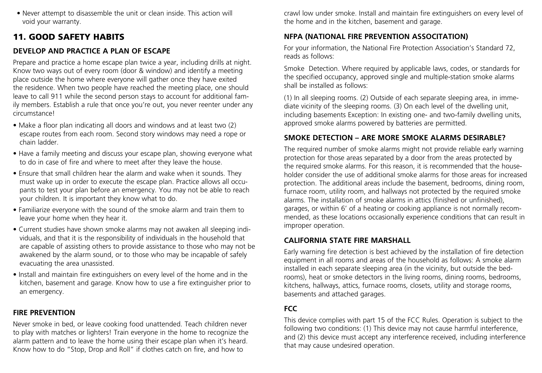• Never attempt to disassemble the unit or clean inside. This action will void your warranty.

# 11. GOOD SAFETY HABITS

## **DEVELOP AND PRACTICE A PLAN OF ESCAPE**

Prepare and practice a home escape plan twice a year, including drills at night. Know two ways out of every room (door & window) and identify a meeting place outside the home where everyone will gather once they have exited the residence. When two people have reached the meeting place, one should leave to call 911 while the second person stays to account for additional family members. Establish a rule that once you're out, you never reenter under any circumstance!

- Make a floor plan indicating all doors and windows and at least two (2) escape routes from each room. Second story windows may need a rope or chain ladder.
- Have a family meeting and discuss your escape plan, showing everyone what to do in case of fire and where to meet after they leave the house.
- Ensure that small children hear the alarm and wake when it sounds. They must wake up in order to execute the escape plan. Practice allows all occupants to test your plan before an emergency. You may not be able to reach your children. It is important they know what to do.
- Familiarize everyone with the sound of the smoke alarm and train them to leave your home when they hear it.
- Current studies have shown smoke alarms may not awaken all sleeping individuals, and that it is the responsibility of individuals in the household that are capable of assisting others to provide assistance to those who may not be awakened by the alarm sound, or to those who may be incapable of safely evacuating the area unassisted.
- Install and maintain fire extinguishers on every level of the home and in the kitchen, basement and garage. Know how to use a fire extinguisher prior to an emergency.

#### **FIRE PREVENTION**

Never smoke in bed, or leave cooking food unattended. Teach children never to play with matches or lighters! Train everyone in the home to recognize the alarm pattern and to leave the home using their escape plan when it's heard. Know how to do "Stop, Drop and Roll" if clothes catch on fire, and how to

crawl low under smoke. Install and maintain fire extinguishers on every level of the home and in the kitchen, basement and garage.

#### **NFPA (NATIONAL FIRE PREVENTION ASSOCITATION)**

For your information, the National Fire Protection Association's Standard 72, reads as follows:

Smoke Detection. Where required by applicable laws, codes, or standards for the specified occupancy, approved single and multiple-station smoke alarms shall be installed as follows:

(1) In all sleeping rooms. (2) Outside of each separate sleeping area, in immediate vicinity of the sleeping rooms. (3) On each level of the dwelling unit, including basements Exception: In existing one- and two-family dwelling units, approved smoke alarms powered by batteries are permitted.

#### **SMOKE DETECTION – ARE MORE SMOKE ALARMS DESIRABLE?**

The required number of smoke alarms might not provide reliable early warning protection for those areas separated by a door from the areas protected by the required smoke alarms. For this reason, it is recommended that the householder consider the use of additional smoke alarms for those areas for increased protection. The additional areas include the basement, bedrooms, dining room, furnace room, utility room, and hallways not protected by the required smoke alarms. The installation of smoke alarms in attics (finished or unfinished), garages, or within 6' of a heating or cooking appliance is not normally recommended, as these locations occasionally experience conditions that can result in improper operation.

#### **CALIFORNIA STATE FIRE MARSHALL**

Early warning fire detection is best achieved by the installation of fire detection equipment in all rooms and areas of the household as follows: A smoke alarm installed in each separate sleeping area (in the vicinity, but outside the bedrooms), heat or smoke detectors in the living rooms, dining rooms, bedrooms, kitchens, hallways, attics, furnace rooms, closets, utility and storage rooms, basements and attached garages.

## **FCC**

This device complies with part 15 of the FCC Rules. Operation is subject to the following two conditions: (1) This device may not cause harmful interference, and (2) this device must accept any interference received, including interference that may cause undesired operation.